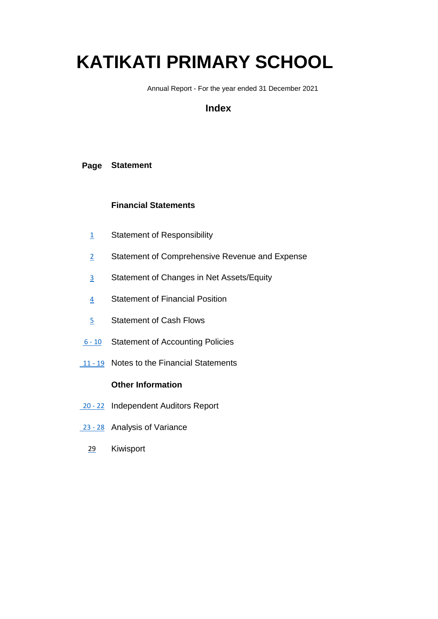# **KATIKATI PRIMARY SCHOOL**

Annual Report - For the year ended 31 December 2021

# **Index**

## **Page Statement**

## **Financial Statements**

- 1 Statement of Responsibility
- 2 Statement of Comprehensive Revenue and Expense
- 3 Statement of Changes in Net Assets/Equity
- 4 Statement of Financial Position
- 5 Statement of Cash Flows
- 6 10 Statement of Accounting Policies
- 11 19 Notes to the Financial Statements

## **Other Information**

- 20 22 Independent Auditors Report
- 23 28 Analysis of Variance
	- 29 Kiwisport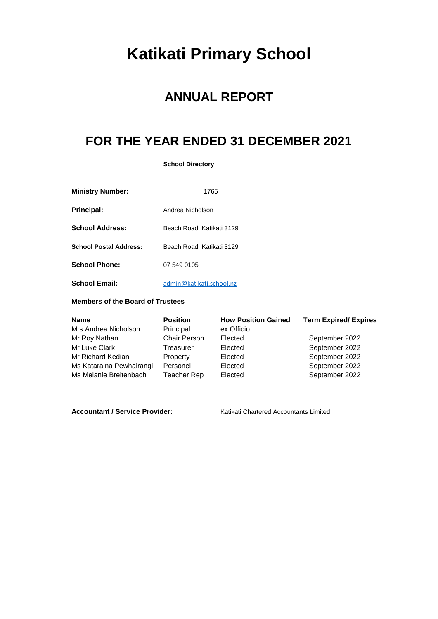# **Katikati Primary School**

# **ANNUAL REPORT**

# **FOR THE YEAR ENDED 31 DECEMBER 2021**

**School Directory**

| <b>Ministry Number:</b>       | 1765                      |
|-------------------------------|---------------------------|
| <b>Principal:</b>             | Andrea Nicholson          |
| <b>School Address:</b>        | Beach Road, Katikati 3129 |
| <b>School Postal Address:</b> | Beach Road, Katikati 3129 |
| <b>School Phone:</b>          | 07 549 0105               |
| <b>School Email:</b>          | admin@katikati.school.nz  |

#### **Members of the Board of Trustees**

| <b>Name</b>              | <b>Position</b>     | <b>How Position Gained</b> | <b>Term Expired/ Expires</b> |
|--------------------------|---------------------|----------------------------|------------------------------|
| Mrs Andrea Nicholson     | Principal           | ex Officio                 |                              |
| Mr Roy Nathan            | <b>Chair Person</b> | Elected                    | September 2022               |
| Mr Luke Clark            | Treasurer           | Elected                    | September 2022               |
| Mr Richard Kedian        | Property            | Elected                    | September 2022               |
| Ms Kataraina Pewhairangi | Personel            | Elected                    | September 2022               |
| Ms Melanie Breitenbach   | Teacher Rep         | Elected                    | September 2022               |

Accountant / Service Provider: Katikati Chartered Accountants Limited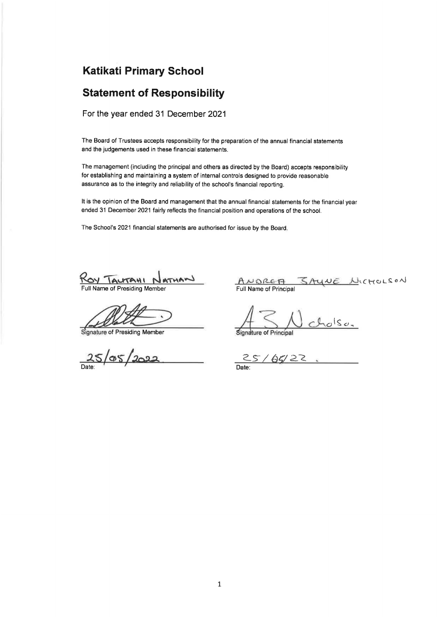# **Katikati Primary School**

# **Statement of Responsibility**

For the year ended 31 December 2021

The Board of Trustees accepts responsibility for the preparation of the annual financial statements and the judgements used in these financial statements.

The management (including the principal and others as directed by the Board) accepts responsibility for establishing and maintaining a system of internal controls designed to provide reasonable assurance as to the integrity and reliability of the school's financial reporting.

It is the opinion of the Board and management that the annual financial statements for the financial year ended 31 December 2021 fairly reflects the financial position and operations of the school.

The School's 2021 financial statements are authorised for issue by the Board.

ROY TALTAHI ATHAN

Full Name of Presiding Member

Signature of Presiding Member

 $25/05/2022$ 

SAYNE NICHOLSON ANDREA Full Name of Principal

 $1s_{0}$ 

Signature of Principal

 $25/65/22$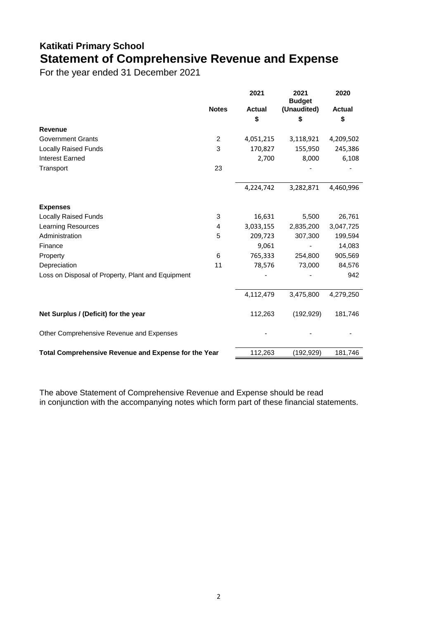# **Katikati Primary School Statement of Comprehensive Revenue and Expense**

For the year ended 31 December 2021

|                                                      |                | 2021          | 2021<br><b>Budget</b> | 2020          |
|------------------------------------------------------|----------------|---------------|-----------------------|---------------|
|                                                      | <b>Notes</b>   | <b>Actual</b> | (Unaudited)           | <b>Actual</b> |
|                                                      |                | \$            | \$                    | \$            |
| <b>Revenue</b>                                       |                |               |                       |               |
| <b>Government Grants</b>                             | $\overline{2}$ | 4,051,215     | 3,118,921             | 4,209,502     |
| <b>Locally Raised Funds</b>                          | 3              | 170,827       | 155,950               | 245,386       |
| <b>Interest Earned</b>                               |                | 2,700         | 8,000                 | 6,108         |
| Transport                                            | 23             |               |                       |               |
|                                                      |                | 4,224,742     | 3,282,871             | 4,460,996     |
| <b>Expenses</b>                                      |                |               |                       |               |
| <b>Locally Raised Funds</b>                          | 3              | 16,631        | 5,500                 | 26,761        |
| Learning Resources                                   | 4              | 3,033,155     | 2,835,200             | 3,047,725     |
| Administration                                       | 5              | 209,723       | 307,300               | 199,594       |
| Finance                                              |                | 9,061         |                       | 14,083        |
| Property                                             | 6              | 765,333       | 254,800               | 905,569       |
| Depreciation                                         | 11             | 78,576        | 73,000                | 84,576        |
| Loss on Disposal of Property, Plant and Equipment    |                |               |                       | 942           |
|                                                      |                | 4,112,479     | 3,475,800             | 4,279,250     |
| Net Surplus / (Deficit) for the year                 |                | 112,263       | (192, 929)            | 181,746       |
| Other Comprehensive Revenue and Expenses             |                |               |                       |               |
| Total Comprehensive Revenue and Expense for the Year |                | 112,263       | (192, 929)            | 181,746       |

The above Statement of Comprehensive Revenue and Expense should be read in conjunction with the accompanying notes which form part of these financial statements.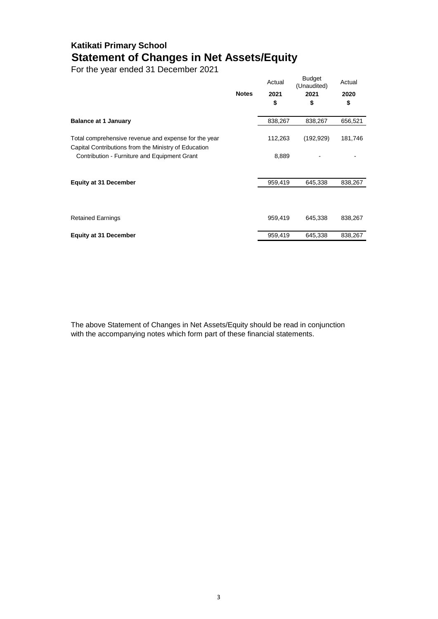# **Katikati Primary School Statement of Changes in Net Assets/Equity**

For the year ended 31 December 2021

|                                                                                                              | <b>Notes</b> | Actual<br>2021<br>\$ | <b>Budget</b><br>(Unaudited)<br>2021<br>\$ | Actual<br>2020<br>\$ |
|--------------------------------------------------------------------------------------------------------------|--------------|----------------------|--------------------------------------------|----------------------|
| <b>Balance at 1 January</b>                                                                                  |              | 838,267              | 838,267                                    | 656,521              |
| Total comprehensive revenue and expense for the year<br>Capital Contributions from the Ministry of Education |              | 112,263              | (192, 929)                                 | 181,746              |
| Contribution - Furniture and Equipment Grant                                                                 |              | 8,889                |                                            |                      |
|                                                                                                              |              |                      |                                            |                      |
| <b>Equity at 31 December</b>                                                                                 |              | 959,419              | 645,338                                    | 838,267              |
|                                                                                                              |              |                      |                                            |                      |
| <b>Retained Earnings</b>                                                                                     |              | 959,419              | 645,338                                    | 838,267              |
| <b>Equity at 31 December</b>                                                                                 |              | 959,419              | 645,338                                    | 838,267              |

The above Statement of Changes in Net Assets/Equity should be read in conjunction with the accompanying notes which form part of these financial statements.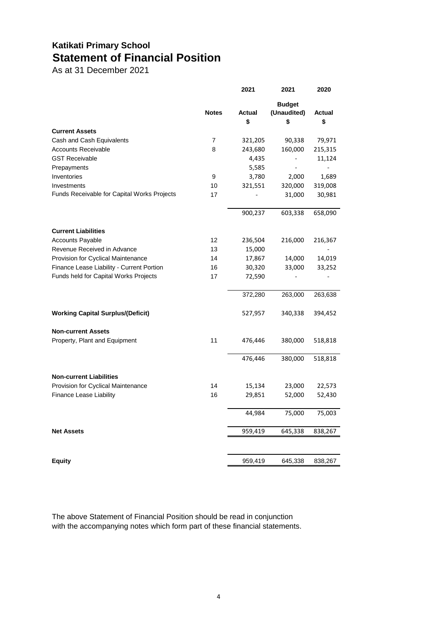# **Katikati Primary School Statement of Financial Position**

As at 31 December 2021

|                                             |              | 2021                | 2021                               | 2020         |
|---------------------------------------------|--------------|---------------------|------------------------------------|--------------|
|                                             | <b>Notes</b> | <b>Actual</b><br>\$ | <b>Budget</b><br>(Unaudited)<br>\$ | Actual<br>\$ |
| <b>Current Assets</b>                       |              |                     |                                    |              |
| Cash and Cash Equivalents                   | 7            | 321,205             | 90,338                             | 79,971       |
| <b>Accounts Receivable</b>                  | 8            | 243,680             | 160,000                            | 215,315      |
| <b>GST Receivable</b>                       |              | 4,435               |                                    | 11,124       |
| Prepayments                                 |              | 5,585               |                                    |              |
| Inventories                                 | 9            | 3,780               | 2,000                              | 1,689        |
| Investments                                 | 10           | 321,551             | 320,000                            | 319,008      |
| Funds Receivable for Capital Works Projects | 17           |                     | 31,000                             | 30,981       |
|                                             |              | 900,237             | 603,338                            | 658,090      |
| <b>Current Liabilities</b>                  |              |                     |                                    |              |
| <b>Accounts Payable</b>                     | 12           | 236,504             | 216,000                            | 216,367      |
| Revenue Received in Advance                 | 13           | 15,000              |                                    |              |
| <b>Provision for Cyclical Maintenance</b>   | 14           | 17,867              | 14,000                             | 14,019       |
| Finance Lease Liability - Current Portion   | 16           | 30,320              | 33,000                             | 33,252       |
| Funds held for Capital Works Projects       | 17           | 72,590              |                                    |              |
|                                             |              | 372,280             | 263,000                            | 263,638      |
| <b>Working Capital Surplus/(Deficit)</b>    |              | 527,957             | 340,338                            | 394,452      |
| <b>Non-current Assets</b>                   |              |                     |                                    |              |
| Property, Plant and Equipment               | 11           | 476,446             | 380,000                            | 518,818      |
|                                             |              | 476,446             | 380,000                            | 518,818      |
| <b>Non-current Liabilities</b>              |              |                     |                                    |              |
| Provision for Cyclical Maintenance          | 14           | 15,134              | 23,000                             | 22,573       |
| <b>Finance Lease Liability</b>              | 16           | 29,851              | 52,000                             | 52,430       |
|                                             |              | 44,984              | 75,000                             | 75,003       |
| <b>Net Assets</b>                           |              | 959,419             | 645,338                            | 838,267      |
|                                             |              |                     |                                    |              |
| Equity                                      |              | 959,419             | 645,338                            | 838,267      |

The above Statement of Financial Position should be read in conjunction with the accompanying notes which form part of these financial statements.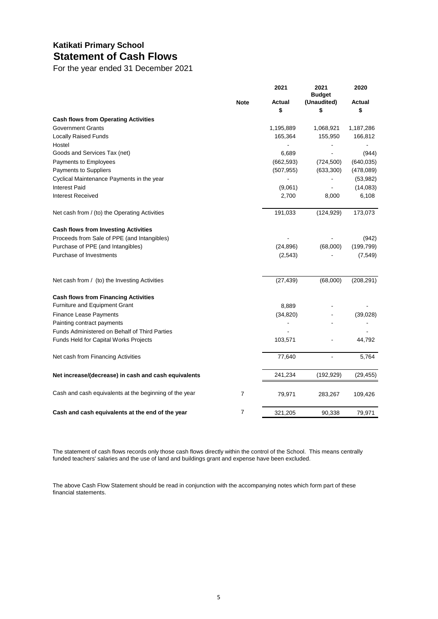# **Katikati Primary School Statement of Cash Flows**

For the year ended 31 December 2021

|                                                        |                | 2021       | 2021<br><b>Budget</b> | 2020       |
|--------------------------------------------------------|----------------|------------|-----------------------|------------|
|                                                        | <b>Note</b>    | Actual     | (Unaudited)           | Actual     |
|                                                        |                | \$         | \$                    | \$         |
| <b>Cash flows from Operating Activities</b>            |                |            |                       |            |
| <b>Government Grants</b>                               |                | 1,195,889  | 1,068,921             | 1,187,286  |
| <b>Locally Raised Funds</b>                            |                | 165,364    | 155,950               | 166,812    |
| Hostel                                                 |                |            |                       |            |
| Goods and Services Tax (net)                           |                | 6,689      |                       | (944)      |
| Payments to Employees                                  |                | (662, 593) | (724, 500)            | (640, 035) |
| Payments to Suppliers                                  |                | (507, 955) | (633, 300)            | (478,089)  |
| Cyclical Maintenance Payments in the year              |                |            |                       | (53, 982)  |
| <b>Interest Paid</b>                                   |                | (9,061)    |                       | (14,083)   |
| <b>Interest Received</b>                               |                | 2,700      | 8,000                 | 6,108      |
| Net cash from / (to) the Operating Activities          |                | 191,033    | (124, 929)            | 173,073    |
| <b>Cash flows from Investing Activities</b>            |                |            |                       |            |
| Proceeds from Sale of PPE (and Intangibles)            |                |            |                       | (942)      |
| Purchase of PPE (and Intangibles)                      |                | (24, 896)  | (68,000)              | (199, 799) |
| Purchase of Investments                                |                | (2,543)    |                       | (7, 549)   |
| Net cash from / (to) the Investing Activities          |                | (27, 439)  | (68,000)              | (208, 291) |
| <b>Cash flows from Financing Activities</b>            |                |            |                       |            |
| Furniture and Equipment Grant                          |                | 8,889      |                       |            |
| Finance Lease Payments                                 |                | (34, 820)  |                       | (39,028)   |
| Painting contract payments                             |                |            |                       |            |
| <b>Funds Administered on Behalf of Third Parties</b>   |                |            |                       |            |
| Funds Held for Capital Works Projects                  |                | 103,571    |                       | 44,792     |
| Net cash from Financing Activities                     |                | 77,640     |                       | 5,764      |
| Net increase/(decrease) in cash and cash equivalents   |                | 241,234    | (192, 929)            | (29, 455)  |
| Cash and cash equivalents at the beginning of the year | $\overline{7}$ | 79,971     | 283,267               | 109,426    |
| Cash and cash equivalents at the end of the year       | $\overline{7}$ | 321,205    | 90.338                | 79.971     |

The statement of cash flows records only those cash flows directly within the control of the School. This means centrally funded teachers' salaries and the use of land and buildings grant and expense have been excluded.

The above Cash Flow Statement should be read in conjunction with the accompanying notes which form part of these financial statements.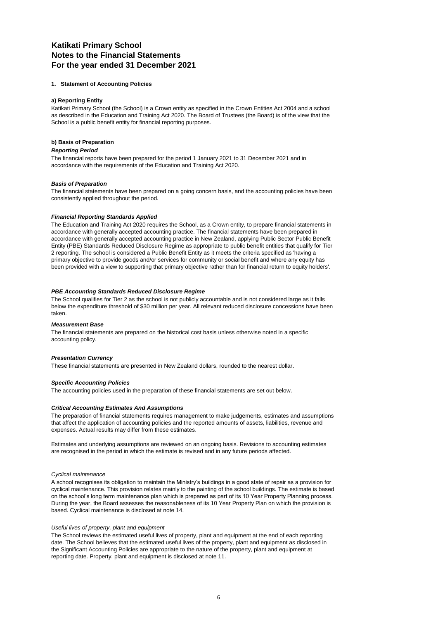## **Katikati Primary School Notes to the Financial Statements For the year ended 31 December 2021**

#### **1. Statement of Accounting Policies**

#### **a) Reporting Entity**

Katikati Primary School (the School) is a Crown entity as specified in the Crown Entities Act 2004 and a school as described in the Education and Training Act 2020. The Board of Trustees (the Board) is of the view that the School is a public benefit entity for financial reporting purposes.

#### **b) Basis of Preparation**

#### *Reporting Period*

The financial reports have been prepared for the period 1 January 2021 to 31 December 2021 and in accordance with the requirements of the Education and Training Act 2020.

#### *Basis of Preparation*

The financial statements have been prepared on a going concern basis, and the accounting policies have been consistently applied throughout the period.

#### *Financial Reporting Standards Applied*

The Education and Training Act 2020 requires the School, as a Crown entity, to prepare financial statements in accordance with generally accepted accounting practice. The financial statements have been prepared in accordance with generally accepted accounting practice in New Zealand, applying Public Sector Public Benefit Entity (PBE) Standards Reduced Disclosure Regime as appropriate to public benefit entities that qualify for Tier 2 reporting. The school is considered a Public Benefit Entity as it meets the criteria specified as 'having a primary objective to provide goods and/or services for community or social benefit and where any equity has been provided with a view to supporting that primary objective rather than for financial return to equity holders'.

#### *PBE Accounting Standards Reduced Disclosure Regime*

The School qualifies for Tier 2 as the school is not publicly accountable and is not considered large as it falls below the expenditure threshold of \$30 million per year. All relevant reduced disclosure concessions have been taken.

#### *Measurement Base*

The financial statements are prepared on the historical cost basis unless otherwise noted in a specific accounting policy.

#### *Presentation Currency*

These financial statements are presented in New Zealand dollars, rounded to the nearest dollar.

#### *Specific Accounting Policies*

The accounting policies used in the preparation of these financial statements are set out below.

#### *Critical Accounting Estimates And Assumptions*

The preparation of financial statements requires management to make judgements, estimates and assumptions that affect the application of accounting policies and the reported amounts of assets, liabilities, revenue and expenses. Actual results may differ from these estimates.

Estimates and underlying assumptions are reviewed on an ongoing basis. Revisions to accounting estimates are recognised in the period in which the estimate is revised and in any future periods affected.

#### *Cyclical maintenance*

A school recognises its obligation to maintain the Ministry's buildings in a good state of repair as a provision for cyclical maintenance. This provision relates mainly to the painting of the school buildings. The estimate is based on the school's long term maintenance plan which is prepared as part of its 10 Year Property Planning process. During the year, the Board assesses the reasonableness of its 10 Year Property Plan on which the provision is based. Cyclical maintenance is disclosed at note 14.

#### *Useful lives of property, plant and equipment*

The School reviews the estimated useful lives of property, plant and equipment at the end of each reporting date. The School believes that the estimated useful lives of the property, plant and equipment as disclosed in the Significant Accounting Policies are appropriate to the nature of the property, plant and equipment at reporting date. Property, plant and equipment is disclosed at note 11.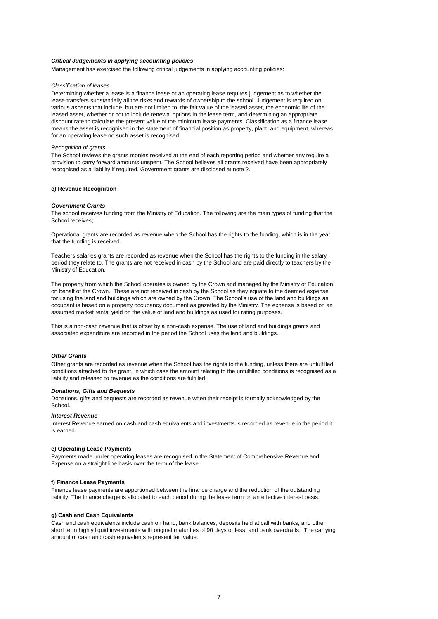#### *Critical Judgements in applying accounting policies*

Management has exercised the following critical judgements in applying accounting policies:

#### *Classification of leases*

Determining whether a lease is a finance lease or an operating lease requires judgement as to whether the lease transfers substantially all the risks and rewards of ownership to the school. Judgement is required on various aspects that include, but are not limited to, the fair value of the leased asset, the economic life of the leased asset, whether or not to include renewal options in the lease term, and determining an appropriate discount rate to calculate the present value of the minimum lease payments. Classification as a finance lease means the asset is recognised in the statement of financial position as property, plant, and equipment, whereas for an operating lease no such asset is recognised.

#### *Recognition of grants*

The School reviews the grants monies received at the end of each reporting period and whether any require a provision to carry forward amounts unspent. The School believes all grants received have been appropriately recognised as a liability if required. Government grants are disclosed at note 2.

#### **c) Revenue Recognition**

#### *Government Grants*

The school receives funding from the Ministry of Education. The following are the main types of funding that the School receives;

Operational grants are recorded as revenue when the School has the rights to the funding, which is in the year that the funding is received.

Teachers salaries grants are recorded as revenue when the School has the rights to the funding in the salary period they relate to. The grants are not received in cash by the School and are paid directly to teachers by the Ministry of Education.

The property from which the School operates is owned by the Crown and managed by the Ministry of Education on behalf of the Crown. These are not received in cash by the School as they equate to the deemed expense for using the land and buildings which are owned by the Crown. The School's use of the land and buildings as occupant is based on a property occupancy document as gazetted by the Ministry. The expense is based on an assumed market rental yield on the value of land and buildings as used for rating purposes.

This is a non-cash revenue that is offset by a non-cash expense. The use of land and buildings grants and associated expenditure are recorded in the period the School uses the land and buildings.

#### *Other Grants*

Other grants are recorded as revenue when the School has the rights to the funding, unless there are unfulfilled conditions attached to the grant, in which case the amount relating to the unfulfilled conditions is recognised as a liability and released to revenue as the conditions are fulfilled.

#### *Donations, Gifts and Bequests*

Donations, gifts and bequests are recorded as revenue when their receipt is formally acknowledged by the School.

#### *Interest Revenue*

Interest Revenue earned on cash and cash equivalents and investments is recorded as revenue in the period it is earned.

#### **e) Operating Lease Payments**

Payments made under operating leases are recognised in the Statement of Comprehensive Revenue and Expense on a straight line basis over the term of the lease.

#### **f) Finance Lease Payments**

Finance lease payments are apportioned between the finance charge and the reduction of the outstanding liability. The finance charge is allocated to each period during the lease term on an effective interest basis.

#### **g) Cash and Cash Equivalents**

Cash and cash equivalents include cash on hand, bank balances, deposits held at call with banks, and other short term highly liquid investments with original maturities of 90 days or less, and bank overdrafts. The carrying amount of cash and cash equivalents represent fair value.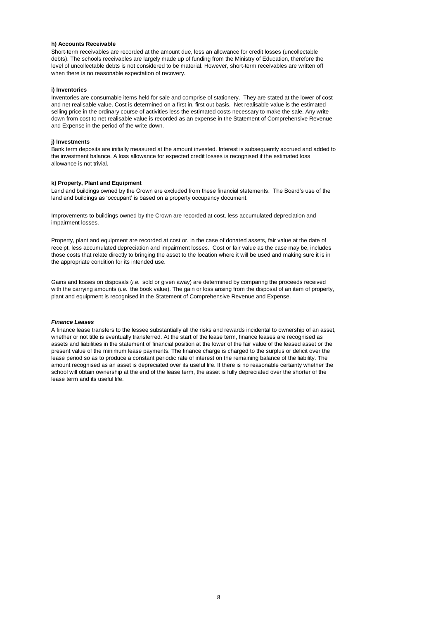#### **h) Accounts Receivable**

Short-term receivables are recorded at the amount due, less an allowance for credit losses (uncollectable debts). The schools receivables are largely made up of funding from the Ministry of Education, therefore the level of uncollectable debts is not considered to be material. However, short-term receivables are written off when there is no reasonable expectation of recovery.

#### **i) Inventories**

Inventories are consumable items held for sale and comprise of stationery. They are stated at the lower of cost and net realisable value. Cost is determined on a first in, first out basis. Net realisable value is the estimated selling price in the ordinary course of activities less the estimated costs necessary to make the sale. Any write down from cost to net realisable value is recorded as an expense in the Statement of Comprehensive Revenue and Expense in the period of the write down.

#### **j) Investments**

Bank term deposits are initially measured at the amount invested. Interest is subsequently accrued and added to the investment balance. A loss allowance for expected credit losses is recognised if the estimated loss allowance is not trivial.

#### **k) Property, Plant and Equipment**

Land and buildings owned by the Crown are excluded from these financial statements. The Board's use of the land and buildings as 'occupant' is based on a property occupancy document.

Improvements to buildings owned by the Crown are recorded at cost, less accumulated depreciation and impairment losses.

Property, plant and equipment are recorded at cost or, in the case of donated assets, fair value at the date of receipt, less accumulated depreciation and impairment losses. Cost or fair value as the case may be, includes those costs that relate directly to bringing the asset to the location where it will be used and making sure it is in the appropriate condition for its intended use.

Gains and losses on disposals (*i.e.* sold or given away) are determined by comparing the proceeds received with the carrying amounts (*i.e.* the book value). The gain or loss arising from the disposal of an item of property, plant and equipment is recognised in the Statement of Comprehensive Revenue and Expense.

#### *Finance Leases*

A finance lease transfers to the lessee substantially all the risks and rewards incidental to ownership of an asset, whether or not title is eventually transferred. At the start of the lease term, finance leases are recognised as assets and liabilities in the statement of financial position at the lower of the fair value of the leased asset or the present value of the minimum lease payments. The finance charge is charged to the surplus or deficit over the lease period so as to produce a constant periodic rate of interest on the remaining balance of the liability. The amount recognised as an asset is depreciated over its useful life. If there is no reasonable certainty whether the school will obtain ownership at the end of the lease term, the asset is fully depreciated over the shorter of the lease term and its useful life.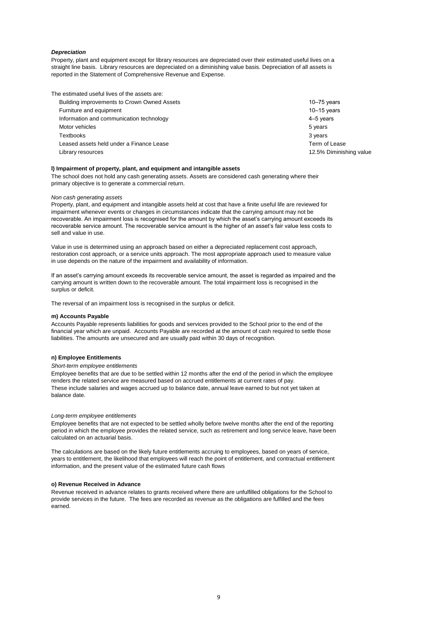#### *Depreciation*

Property, plant and equipment except for library resources are depreciated over their estimated useful lives on a straight line basis. Library resources are depreciated on a diminishing value basis. Depreciation of all assets is reported in the Statement of Comprehensive Revenue and Expense.

The estimated useful lives of the assets are:

| Building improvements to Crown Owned Assets | $10 - 75$ years         |
|---------------------------------------------|-------------------------|
| Furniture and equipment                     | $10 - 15$ years         |
| Information and communication technology    | 4–5 years               |
| Motor vehicles                              | 5 years                 |
| Textbooks                                   | 3 years                 |
| Leased assets held under a Finance Lease    | Term of Lease           |
| Library resources                           | 12.5% Diminishing value |

#### **l) Impairment of property, plant, and equipment and intangible assets**

The school does not hold any cash generating assets. Assets are considered cash generating where their primary objective is to generate a commercial return.

#### *Non cash generating assets*

Property, plant, and equipment and intangible assets held at cost that have a finite useful life are reviewed for impairment whenever events or changes in circumstances indicate that the carrying amount may not be recoverable. An impairment loss is recognised for the amount by which the asset's carrying amount exceeds its recoverable service amount. The recoverable service amount is the higher of an asset's fair value less costs to sell and value in use.

Value in use is determined using an approach based on either a depreciated replacement cost approach, restoration cost approach, or a service units approach. The most appropriate approach used to measure value in use depends on the nature of the impairment and availability of information.

If an asset's carrying amount exceeds its recoverable service amount, the asset is regarded as impaired and the carrying amount is written down to the recoverable amount. The total impairment loss is recognised in the surplus or deficit.

The reversal of an impairment loss is recognised in the surplus or deficit.

#### **m) Accounts Payable**

Accounts Payable represents liabilities for goods and services provided to the School prior to the end of the financial year which are unpaid. Accounts Payable are recorded at the amount of cash required to settle those liabilities. The amounts are unsecured and are usually paid within 30 days of recognition.

#### **n) Employee Entitlements**

#### *Short-term employee entitlements*

Employee benefits that are due to be settled within 12 months after the end of the period in which the employee renders the related service are measured based on accrued entitlements at current rates of pay. These include salaries and wages accrued up to balance date, annual leave earned to but not yet taken at balance date.

#### *Long-term employee entitlements*

Employee benefits that are not expected to be settled wholly before twelve months after the end of the reporting period in which the employee provides the related service, such as retirement and long service leave, have been calculated on an actuarial basis.

The calculations are based on the likely future entitlements accruing to employees, based on years of service, years to entitlement, the likelihood that employees will reach the point of entitlement, and contractual entitlement information, and the present value of the estimated future cash flows

#### **o) Revenue Received in Advance**

Revenue received in advance relates to grants received where there are unfulfilled obligations for the School to provide services in the future. The fees are recorded as revenue as the obligations are fulfilled and the fees earned.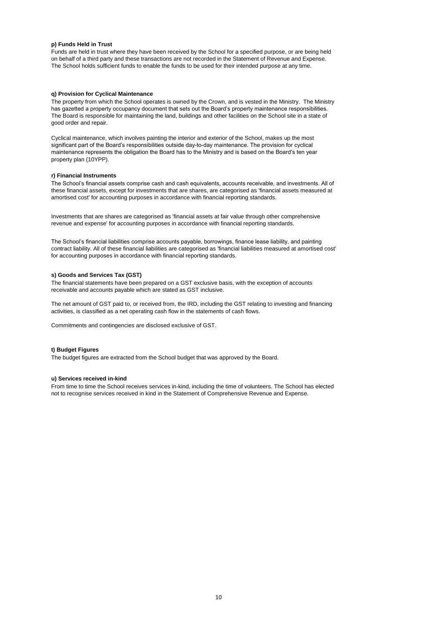#### **p) Funds Held in Trust**

Funds are held in trust where they have been received by the School for a specified purpose, or are being held on behalf of a third party and these transactions are not recorded in the Statement of Revenue and Expense. The School holds sufficient funds to enable the funds to be used for their intended purpose at any time.

#### **q) Provision for Cyclical Maintenance**

The property from which the School operates is owned by the Crown, and is vested in the Ministry. The Ministry has gazetted a property occupancy document that sets out the Board's property maintenance responsibilities. The Board is responsible for maintaining the land, buildings and other facilities on the School site in a state of good order and repair.

Cyclical maintenance, which involves painting the interior and exterior of the School, makes up the most significant part of the Board's responsibilities outside day-to-day maintenance. The provision for cyclical maintenance represents the obligation the Board has to the Ministry and is based on the Board's ten year property plan (10YPP).

#### **r) Financial Instruments**

The School's financial assets comprise cash and cash equivalents, accounts receivable, and investments. All of these financial assets, except for investments that are shares, are categorised as 'financial assets measured at amortised cost' for accounting purposes in accordance with financial reporting standards.

Investments that are shares are categorised as 'financial assets at fair value through other comprehensive revenue and expense' for accounting purposes in accordance with financial reporting standards.

The School's financial liabilities comprise accounts payable, borrowings, finance lease liability, and painting contract liability. All of these financial liabilities are categorised as 'financial liabilities measured at amortised cost' for accounting purposes in accordance with financial reporting standards.

#### **s) Goods and Services Tax (GST)**

The financial statements have been prepared on a GST exclusive basis, with the exception of accounts receivable and accounts payable which are stated as GST inclusive.

The net amount of GST paid to, or received from, the IRD, including the GST relating to investing and financing activities, is classified as a net operating cash flow in the statements of cash flows.

Commitments and contingencies are disclosed exclusive of GST.

#### **t) Budget Figures**

The budget figures are extracted from the School budget that was approved by the Board.

#### **u) Services received in-kind**

From time to time the School receives services in-kind, including the time of volunteers. The School has elected not to recognise services received in kind in the Statement of Comprehensive Revenue and Expense.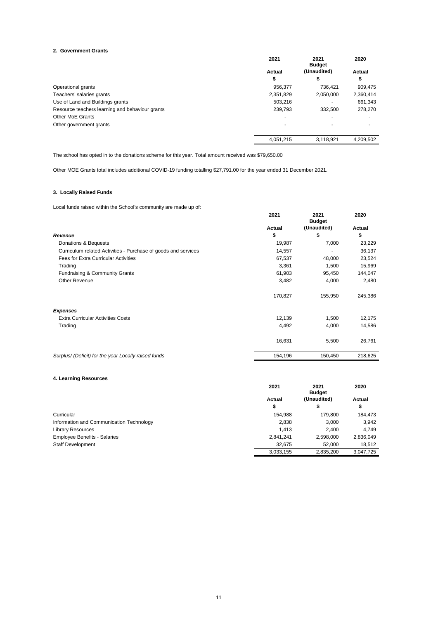#### **2. Government Grants**

|                                                 | 2021      | 2021<br><b>Budget</b> | 2020      |
|-------------------------------------------------|-----------|-----------------------|-----------|
|                                                 | Actual    | (Unaudited)           | Actual    |
|                                                 | \$        | S                     | ъ         |
| Operational grants                              | 956.377   | 736.421               | 909,475   |
| Teachers' salaries grants                       | 2,351,829 | 2,050,000             | 2,360,414 |
| Use of Land and Buildings grants                | 503.216   |                       | 661,343   |
| Resource teachers learning and behaviour grants | 239,793   | 332,500               | 278,270   |
| Other MoE Grants                                |           |                       |           |
| Other government grants                         |           |                       |           |
|                                                 | 4,051,215 | 3.118.921             | 4.209.502 |

The school has opted in to the donations scheme for this year. Total amount received was \$79,650.00

Other MOE Grants total includes additional COVID-19 funding totalling \$27,791.00 for the year ended 31 December 2021.

#### **3. Locally Raised Funds**

Local funds raised within the School's community are made up of:

|                                                                | 2021    | 2021<br><b>Budget</b> | 2020    |
|----------------------------------------------------------------|---------|-----------------------|---------|
|                                                                | Actual  | (Unaudited)           | Actual  |
| Revenue                                                        | \$      | \$                    | \$      |
| Donations & Bequests                                           | 19,987  | 7,000                 | 23,229  |
| Curriculum related Activities - Purchase of goods and services | 14,557  |                       | 36,137  |
| Fees for Extra Curricular Activities                           | 67,537  | 48,000                | 23,524  |
| Trading                                                        | 3,361   | 1,500                 | 15,969  |
| Fundraising & Community Grants                                 | 61,903  | 95,450                | 144,047 |
| Other Revenue                                                  | 3,482   | 4,000                 | 2,480   |
|                                                                | 170,827 | 155,950               | 245,386 |
| <b>Expenses</b>                                                |         |                       |         |
| <b>Extra Curricular Activities Costs</b>                       | 12,139  | 1,500                 | 12,175  |
| Trading                                                        | 4,492   | 4,000                 | 14,586  |
|                                                                | 16,631  | 5,500                 | 26,761  |
| Surplus/ (Deficit) for the year Locally raised funds           | 154,196 | 150,450               | 218,625 |

#### **4. Learning Resources**

|                                          | 2021      | 2021<br><b>Budget</b> | 2020      |
|------------------------------------------|-----------|-----------------------|-----------|
|                                          | Actual    | (Unaudited)           | Actual    |
|                                          | \$        | \$                    | \$        |
| Curricular                               | 154.988   | 179.800               | 184,473   |
| Information and Communication Technology | 2,838     | 3,000                 | 3,942     |
| <b>Library Resources</b>                 | 1,413     | 2.400                 | 4.749     |
| <b>Employee Benefits - Salaries</b>      | 2,841,241 | 2,598,000             | 2,836,049 |
| <b>Staff Development</b>                 | 32.675    | 52.000                | 18,512    |
|                                          | 3,033,155 | 2,835,200             | 3,047,725 |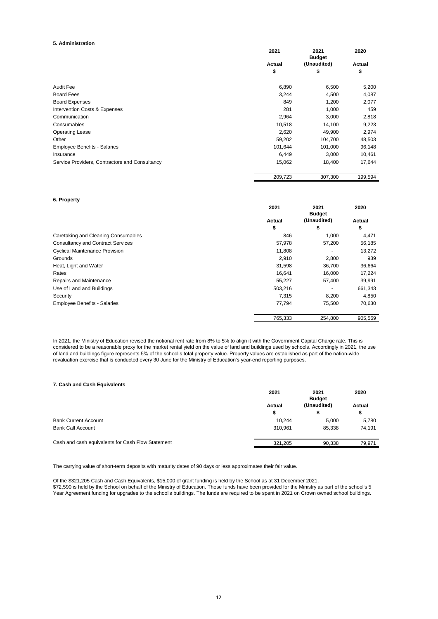#### **5. Administration**

|                                                | 2021    | 2021<br><b>Budget</b> | 2020    |
|------------------------------------------------|---------|-----------------------|---------|
|                                                | Actual  | (Unaudited)           | Actual  |
|                                                | \$      | \$                    | \$      |
| Audit Fee                                      | 6,890   | 6,500                 | 5,200   |
| <b>Board Fees</b>                              | 3,244   | 4,500                 | 4,087   |
| <b>Board Expenses</b>                          | 849     | 1,200                 | 2,077   |
| Intervention Costs & Expenses                  | 281     | 1,000                 | 459     |
| Communication                                  | 2,964   | 3,000                 | 2,818   |
| Consumables                                    | 10,518  | 14,100                | 9,223   |
| <b>Operating Lease</b>                         | 2,620   | 49,900                | 2,974   |
| Other                                          | 59,202  | 104,700               | 48,503  |
| <b>Employee Benefits - Salaries</b>            | 101,644 | 101,000               | 96,148  |
| Insurance                                      | 6,449   | 3,000                 | 10,461  |
| Service Providers, Contractors and Consultancy | 15,062  | 18,400                | 17,644  |
|                                                | 209,723 | 307,300               | 199,594 |

#### **6. Property**

|                                          | 2021    | 2021<br><b>Budget</b> | 2020    |
|------------------------------------------|---------|-----------------------|---------|
|                                          | Actual  | (Unaudited)           | Actual  |
|                                          | \$      | \$                    | \$      |
| Caretaking and Cleaning Consumables      | 846     | 1,000                 | 4,471   |
| <b>Consultancy and Contract Services</b> | 57,978  | 57,200                | 56,185  |
| <b>Cyclical Maintenance Provision</b>    | 11,808  |                       | 13,272  |
| Grounds                                  | 2,910   | 2,800                 | 939     |
| Heat, Light and Water                    | 31,598  | 36,700                | 36,664  |
| Rates                                    | 16,641  | 16,000                | 17,224  |
| Repairs and Maintenance                  | 55,227  | 57,400                | 39,991  |
| Use of Land and Buildings                | 503,216 |                       | 661,343 |
| Security                                 | 7,315   | 8,200                 | 4,850   |
| <b>Employee Benefits - Salaries</b>      | 77,794  | 75,500                | 70,630  |
|                                          | 765.333 | 254.800               | 905,569 |

In 2021, the Ministry of Education revised the notional rent rate from 8% to 5% to align it with the Government Capital Charge rate. This is considered to be a reasonable proxy for the market rental yield on the value of land and buildings used by schools. Accordingly in 2021, the use of land and buildings figure represents 5% of the school's total property value. Property values are established as part of the nation-wide revaluation exercise that is conducted every 30 June for the Ministry of Education's year-end reporting purposes.

#### **7. Cash and Cash Equivalents**

|                                                   | 2021    | 2021<br><b>Budget</b><br>(Unaudited) | 2020<br>Actual |
|---------------------------------------------------|---------|--------------------------------------|----------------|
|                                                   | Actual  |                                      |                |
|                                                   | \$      |                                      | ⊕              |
| <b>Bank Current Account</b>                       | 10.244  | 5.000                                | 5.780          |
| <b>Bank Call Account</b>                          | 310.961 | 85,338                               | 74.191         |
| Cash and cash equivalents for Cash Flow Statement | 321.205 | 90.338                               | 79.971         |
|                                                   |         |                                      |                |

The carrying value of short-term deposits with maturity dates of 90 days or less approximates their fair value.

Of the \$321,205 Cash and Cash Equivalents, \$15,000 of grant funding is held by the School as at 31 December 2021. \$72,590 is held by the School on behalf of the Ministry of Education. These funds have been provided for the Ministry as part of the school's 5 Year Agreement funding for upgrades to the school's buildings. The funds are required to be spent in 2021 on Crown owned school buildings.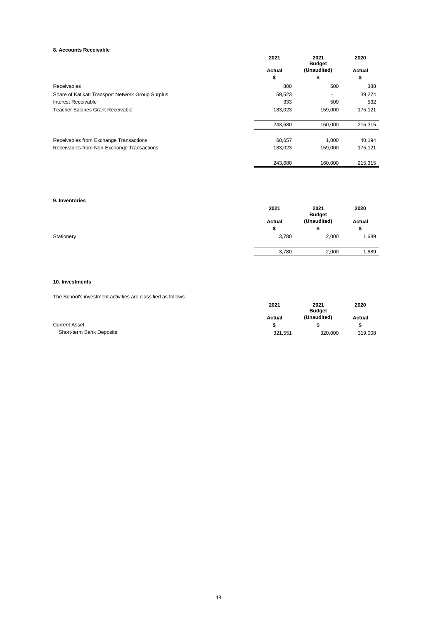#### **8. Accounts Receivable**

|                                                   | 2021    | 2021<br><b>Budget</b> | 2020    |
|---------------------------------------------------|---------|-----------------------|---------|
|                                                   | Actual  | (Unaudited)           | Actual  |
|                                                   | \$      | \$                    | \$      |
| Receivables                                       | 800     | 500                   | 388     |
| Share of Katikati Transport Network Group Surplus | 59,523  | ۰                     | 39,274  |
| Interest Receivable                               | 333     | 500                   | 532     |
| Teacher Salaries Grant Receivable                 | 183,023 | 159,000               | 175,121 |
|                                                   | 243,680 | 160,000               | 215,315 |
| Receivables from Exchange Transactions            | 60,657  | 1.000                 | 40,194  |
| Receivables from Non-Exchange Transactions        | 183,023 | 159,000               | 175,121 |
|                                                   | 243.680 | 160.000               | 215,315 |

#### **9. Inventories**

|            | 2021   | 2021<br><b>Budget</b> | 2020   |
|------------|--------|-----------------------|--------|
|            | Actual | (Unaudited)           | Actual |
|            | \$     | \$                    | \$     |
| Stationery | 3,780  | 2,000                 | 1,689  |
|            | 3,780  | 2,000                 | 1,689  |

#### **10. Investments**

The School's investment activities are classified as follows:

| THE OCHOUTS INVESTMENT QUIVILIES QIE URSSINEU QS IUIIUWS. |         |               |         |
|-----------------------------------------------------------|---------|---------------|---------|
|                                                           | 2021    | 2021          | 2020    |
|                                                           |         | <b>Budget</b> |         |
|                                                           | Actual  | (Unaudited)   | Actual  |
| <b>Current Asset</b>                                      |         |               |         |
| Short-term Bank Deposits                                  | 321.551 | 320,000       | 319,008 |
|                                                           |         |               |         |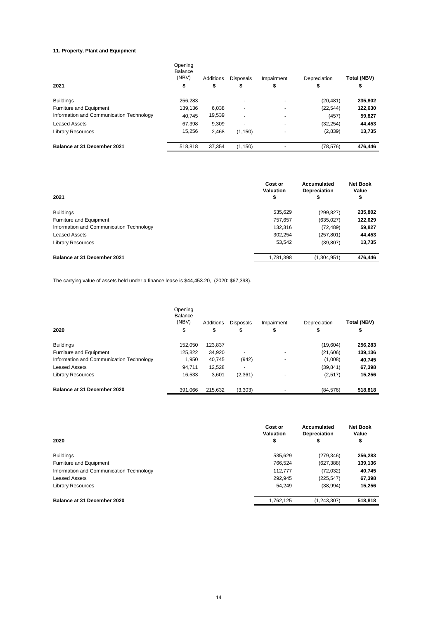#### **11. Property, Plant and Equipment**

| 2021                                     | Opening<br>Balance<br>(NBV)<br>\$ | Additions<br>\$          | <b>Disposals</b><br>\$ | Impairment<br>\$         | Depreciation<br>\$ | Total (NBV)<br>\$ |
|------------------------------------------|-----------------------------------|--------------------------|------------------------|--------------------------|--------------------|-------------------|
| <b>Buildings</b>                         | 256.283                           | $\overline{\phantom{0}}$ |                        | $\overline{\phantom{0}}$ | (20, 481)          | 235,802           |
| Furniture and Equipment                  | 139.136                           | 6.038                    | -                      |                          | (22, 544)          | 122,630           |
| Information and Communication Technology | 40.745                            | 19,539                   |                        |                          | (457)              | 59,827            |
| <b>Leased Assets</b>                     | 67,398                            | 9,309                    | -                      |                          | (32, 254)          | 44,453            |
| <b>Library Resources</b>                 | 15,256                            | 2.468                    | (1, 150)               | $\overline{\phantom{0}}$ | (2,839)            | 13,735            |
| Balance at 31 December 2021              | 518.818                           | 37.354                   | (1, 150)               |                          | (78, 576)          | 476,446           |

| 2021                                     | Cost or<br>Valuation<br>\$ | Accumulated<br><b>Depreciation</b><br>\$ | <b>Net Book</b><br>Value<br>\$ |
|------------------------------------------|----------------------------|------------------------------------------|--------------------------------|
| <b>Buildings</b>                         | 535,629                    | (299, 827)                               | 235,802                        |
| Furniture and Equipment                  | 757,657                    | (635, 027)                               | 122,629                        |
| Information and Communication Technology | 132,316                    | (72, 489)                                | 59,827                         |
| <b>Leased Assets</b>                     | 302,254                    | (257, 801)                               | 44,453                         |
| <b>Library Resources</b>                 | 53,542                     | (39, 807)                                | 13,735                         |
| Balance at 31 December 2021              | 1,781,398                  | (1,304,951)                              | 476,446                        |

The carrying value of assets held under a finance lease is \$44,453.20, (2020: \$67,398).

|                                          | Opening<br>Balance<br>(NBV) | Additions | <b>Disposals</b>         | Impairment               | Depreciation | Total (NBV) |
|------------------------------------------|-----------------------------|-----------|--------------------------|--------------------------|--------------|-------------|
| 2020                                     | \$                          | \$        | \$                       | \$                       | \$           | \$          |
| <b>Buildings</b>                         | 152.050                     | 123.837   |                          |                          | (19,604)     | 256,283     |
| Furniture and Equipment                  | 125,822                     | 34,920    |                          | $\overline{\phantom{0}}$ | (21,606)     | 139,136     |
| Information and Communication Technology | 1,950                       | 40,745    | (942)                    | ٠                        | (1,008)      | 40,745      |
| <b>Leased Assets</b>                     | 94.711                      | 12,528    | $\overline{\phantom{0}}$ |                          | (39, 841)    | 67,398      |
| <b>Library Resources</b>                 | 16.533                      | 3.601     | (2,361)                  | ٠                        | (2,517)      | 15,256      |
| Balance at 31 December 2020              | 391,066                     | 215.632   | (3,303)                  |                          | (84, 576)    | 518,818     |

|                                          | Cost or<br>Valuation | Accumulated<br>Depreciation | <b>Net Book</b><br>Value |
|------------------------------------------|----------------------|-----------------------------|--------------------------|
| 2020                                     | \$                   | \$                          | \$                       |
| <b>Buildings</b>                         | 535,629              | (279, 346)                  | 256,283                  |
| Furniture and Equipment                  | 766,524              | (627, 388)                  | 139,136                  |
| Information and Communication Technology | 112.777              | (72, 032)                   | 40,745                   |
| <b>Leased Assets</b>                     | 292,945              | (225, 547)                  | 67,398                   |
| <b>Library Resources</b>                 | 54.249               | (38, 994)                   | 15,256                   |
| Balance at 31 December 2020              | 1,762,125            | (1,243,307)                 | 518,818                  |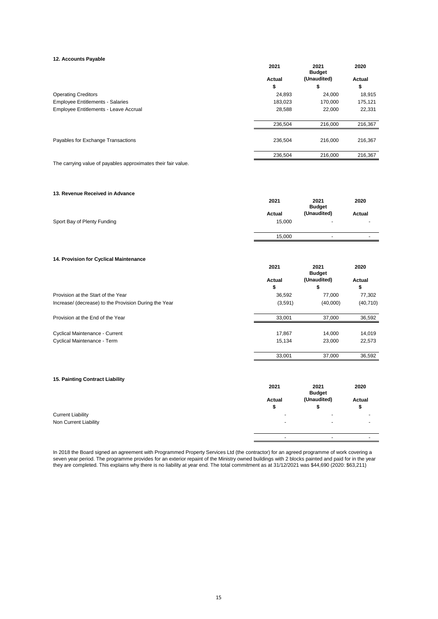#### **12. Accounts Payable**

|                                         | 2021         | 2021<br><b>Budget</b> | 2020                |
|-----------------------------------------|--------------|-----------------------|---------------------|
|                                         | Actual<br>\$ | (Unaudited)<br>\$     | <b>Actual</b><br>\$ |
| <b>Operating Creditors</b>              | 24,893       | 24,000                | 18,915              |
| <b>Employee Entitlements - Salaries</b> | 183,023      | 170,000               | 175,121             |
| Employee Entitlements - Leave Accrual   | 28,588       | 22,000                | 22,331              |
|                                         | 236,504      | 216,000               | 216,367             |
| Payables for Exchange Transactions      | 236,504      | 216,000               | 216,367             |
|                                         | 236,504      | 216,000               | 216.367             |

The carrying value of payables approximates their fair value.

#### **13. Revenue Received in Advance**

|                             | 2021   | 2021<br><b>Budget</b>    | 2020                     |
|-----------------------------|--------|--------------------------|--------------------------|
|                             | Actual | (Unaudited)              | Actual                   |
| Sport Bay of Plenty Funding | 15,000 | $\sim$                   | $\overline{\phantom{a}}$ |
|                             | 15.000 | $\overline{\phantom{a}}$ | $\overline{\phantom{a}}$ |
|                             |        |                          |                          |

#### **14. Provision for Cyclical Maintenance**

|                                                       | 2021    | 2021<br><b>Budget</b> | 2020      |
|-------------------------------------------------------|---------|-----------------------|-----------|
|                                                       | Actual  | (Unaudited)           | Actual    |
|                                                       | \$      | \$                    | \$        |
| Provision at the Start of the Year                    | 36,592  | 77.000                | 77,302    |
| Increase/ (decrease) to the Provision During the Year | (3,591) | (40,000)              | (40, 710) |
| Provision at the End of the Year                      | 33.001  | 37.000                | 36,592    |
| Cyclical Maintenance - Current                        | 17,867  | 14,000                | 14,019    |
| Cyclical Maintenance - Term                           | 15.134  | 23,000                | 22,573    |
|                                                       | 33,001  | 37.000                | 36,592    |

#### **15. Painting Contract Liability**

|                          | 2021                     | 2021<br><b>Budget</b>    | 2020                     |
|--------------------------|--------------------------|--------------------------|--------------------------|
|                          | Actual                   | (Unaudited)              | Actual                   |
|                          | æ                        |                          | Φ                        |
| <b>Current Liability</b> | -                        | -                        | $\blacksquare$           |
| Non Current Liability    | $\overline{\phantom{a}}$ | $\overline{\phantom{a}}$ | $\overline{\phantom{a}}$ |
|                          |                          |                          |                          |
|                          | -                        |                          | $\overline{\phantom{0}}$ |

In 2018 the Board signed an agreement with Programmed Property Services Ltd (the contractor) for an agreed programme of work covering a seven year period. The programme provides for an exterior repaint of the Ministry owned buildings with 2 blocks painted and paid for in the year they are completed. This explains why there is no liability at year end. The total commitment as at 31/12/2021 was \$44,690 (2020: \$63,211)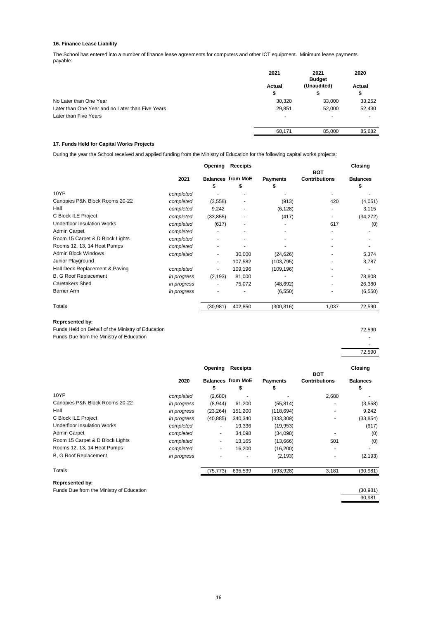#### **16. Finance Lease Liability**

The School has entered into a number of finance lease agreements for computers and other ICT equipment. Minimum lease payments payable:

|                                                  | 2021                     | 2021<br><b>Budget</b>    | 2020           |
|--------------------------------------------------|--------------------------|--------------------------|----------------|
|                                                  | Actual                   | (Unaudited)              | Actual         |
|                                                  | \$                       |                          | \$             |
| No Later than One Year                           | 30,320                   | 33,000                   | 33,252         |
| Later than One Year and no Later than Five Years | 29,851                   | 52,000                   | 52,430         |
| Later than Five Years                            | $\overline{\phantom{0}}$ | $\overline{\phantom{0}}$ | $\overline{a}$ |
|                                                  | 60,171                   | 85,000                   | 85,682         |

#### **17. Funds Held for Capital Works Projects**

During the year the School received and applied funding from the Ministry of Education for the following capital works projects:

|                                    | Opening     |           | Receipts                      |                 | <b>BOT</b>               | Closing               |  |
|------------------------------------|-------------|-----------|-------------------------------|-----------------|--------------------------|-----------------------|--|
|                                    | 2021        | S         | <b>Balances from MoE</b><br>S | <b>Payments</b> | <b>Contributions</b>     | <b>Balances</b><br>\$ |  |
| 10YP                               | completed   |           |                               |                 |                          |                       |  |
| Canopies P&N Block Rooms 20-22     | completed   | (3,558)   |                               | (913)           | 420                      | (4,051)               |  |
| Hall                               | completed   | 9,242     |                               | (6, 128)        |                          | 3,115                 |  |
| C Block ILE Project                | completed   | (33, 855) |                               | (417)           | $\overline{\phantom{a}}$ | (34, 272)             |  |
| <b>Underfloor Insulation Works</b> | completed   | (617)     |                               |                 | 617                      | (0)                   |  |
| <b>Admin Carpet</b>                | completed   |           |                               |                 |                          |                       |  |
| Room 15 Carpet & D Block Lights    | completed   |           |                               |                 |                          |                       |  |
| Rooms 12, 13, 14 Heat Pumps        | completed   |           |                               |                 |                          |                       |  |
| Admin Block Windows                | completed   |           | 30,000                        | (24, 626)       |                          | 5,374                 |  |
| Junior Playground                  |             |           | 107,582                       | (103, 795)      |                          | 3,787                 |  |
| Hall Deck Replacement & Paving     | completed   |           | 109,196                       | (109, 196)      |                          |                       |  |
| B, G Roof Replacement              | in progress | (2, 193)  | 81,000                        |                 |                          | 78,808                |  |
| <b>Caretakers Shed</b>             | in progress |           | 75,072                        | (48, 692)       |                          | 26,380                |  |
| <b>Barrier Arm</b>                 | in progress |           |                               | (6, 550)        |                          | (6, 550)              |  |
| Totals                             |             | (30, 981) | 402,850                       | (300, 316)      | 1,037                    | 72,590                |  |

#### **Represented by:**

Funds Held on Behalf of the Ministry of Education 72,590 Funds Due from the Ministry of Education -

 - 72,590

|                                    |             | Opening                  | <b>Receipts</b>                |                       |                                    | <b>Closing</b>        |
|------------------------------------|-------------|--------------------------|--------------------------------|-----------------------|------------------------------------|-----------------------|
|                                    | 2020        | \$                       | <b>Balances from MoE</b><br>\$ | <b>Payments</b><br>\$ | <b>BOT</b><br><b>Contributions</b> | <b>Balances</b><br>\$ |
| 10YP                               | completed   | (2,680)                  |                                |                       | 2,680                              |                       |
| Canopies P&N Block Rooms 20-22     | in progress | (8,944)                  | 61,200                         | (55, 814)             |                                    | (3, 558)              |
| Hall                               | in progress | (23, 264)                | 151,200                        | (118, 694)            | $\overline{\phantom{a}}$           | 9,242                 |
| C Block ILE Project                | in progress | (40, 885)                | 340,340                        | (333, 309)            |                                    | (33, 854)             |
| <b>Underfloor Insulation Works</b> | completed   | $\overline{\phantom{a}}$ | 19,336                         | (19, 953)             |                                    | (617)                 |
| <b>Admin Carpet</b>                | completed   | ٠                        | 34,098                         | (34,098)              |                                    | (0)                   |
| Room 15 Carpet & D Block Lights    | completed   | $\overline{\phantom{a}}$ | 13,165                         | (13,666)              | 501                                | (0)                   |
| Rooms 12, 13, 14 Heat Pumps        | completed   | ٠                        | 16,200                         | (16, 200)             | $\overline{\phantom{a}}$           |                       |
| <b>B. G Roof Replacement</b>       | in progress | ٠                        |                                | (2, 193)              | $\overline{\phantom{a}}$           | (2, 193)              |
| Totals                             |             | (75, 773)                | 635,539                        | (593,928)             | 3,181                              | (30, 981)             |
| <b>Represented by:</b>             |             |                          |                                |                       |                                    |                       |

Funds Due from the Ministry of Education (30,981)

30,981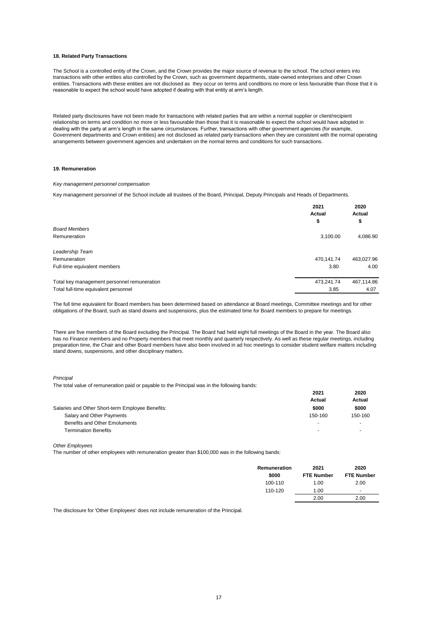#### **18. Related Party Transactions**

The School is a controlled entity of the Crown, and the Crown provides the major source of revenue to the school. The school enters into transactions with other entities also controlled by the Crown, such as government departments, state-owned enterprises and other Crown entities. Transactions with these entities are not disclosed as they occur on terms and conditions no more or less favourable than those that it is reasonable to expect the school would have adopted if dealing with that entity at arm's length.

Related party disclosures have not been made for transactions with related parties that are within a normal supplier or client/recipient relationship on terms and condition no more or less favourable than those that it is reasonable to expect the school would have adopted in dealing with the party at arm's length in the same circumstances. Further, transactions with other government agencies (for example, Government departments and Crown entities) are not disclosed as related party transactions when they are consistent with the normal operating arrangements between government agencies and undertaken on the normal terms and conditions for such transactions.

#### **19. Remuneration**

#### *Key management personnel compensation*

Key management personnel of the School include all trustees of the Board, Principal, Deputy Principals and Heads of Departments.

|                                             | 2021<br>Actual<br>\$ | 2020<br>Actual<br>\$ |
|---------------------------------------------|----------------------|----------------------|
| <b>Board Members</b>                        |                      |                      |
| Remuneration                                | 3,100.00             | 4,086.90             |
| Leadership Team                             |                      |                      |
| Remuneration                                | 470,141.74           | 463,027.96           |
| Full-time equivalent members                | 3.80                 | 4.00                 |
| Total key management personnel remuneration | 473,241.74           | 467,114.86           |
| Total full-time equivalent personnel        | 3.85                 | 4.07                 |

The full time equivalent for Board members has been determined based on attendance at Board meetings, Committee meetings and for other obligations of the Board, such as stand downs and suspensions, plus the estimated time for Board members to prepare for meetings.

There are five members of the Board excluding the Principal. The Board had held eight full meetings of the Board in the year. The Board also has no Finance members and no Property members that meet monthly and quarterly respectively. As well as these regular meetings, including preparation time, the Chair and other Board members have also been involved in ad hoc meetings to consider student welfare matters including stand downs, suspensions, and other disciplinary matters.

#### *Principal*

The total value of remuneration paid or payable to the Principal was in the following bands:

|                          | 2020    |
|--------------------------|---------|
| Actual                   | Actual  |
| \$000                    | \$000   |
| 150-160                  | 150-160 |
| -                        |         |
| $\overline{\phantom{0}}$ |         |
|                          | 2021    |

*Other Employees*

The number of other employees with remuneration greater than \$100,000 was in the following bands:

| <b>Remuneration</b><br>\$000 | 2021<br><b>FTE Number</b> | 2020<br><b>FTE Number</b> |
|------------------------------|---------------------------|---------------------------|
| 100-110                      | 1.00                      | 2.00                      |
| 110-120                      | 1.00                      | $\sim$                    |
|                              | 2.00                      | 2.00                      |

The disclosure for 'Other Employees' does not include remuneration of the Principal.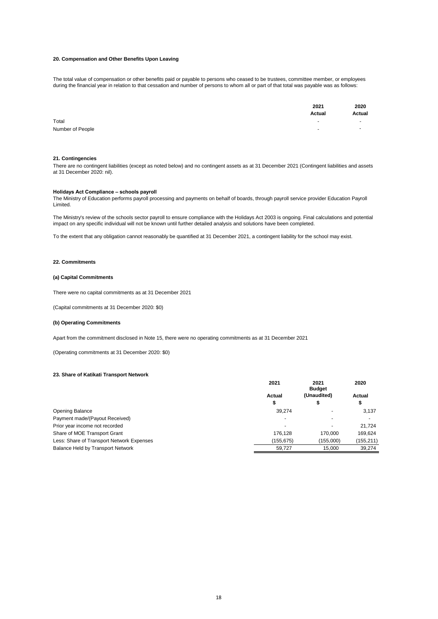#### **20. Compensation and Other Benefits Upon Leaving**

The total value of compensation or other benefits paid or payable to persons who ceased to be trustees, committee member, or employees during the financial year in relation to that cessation and number of persons to whom all or part of that total was payable was as follows:

|                  | 2021<br>Actual           | 2020<br><b>Actual</b> |
|------------------|--------------------------|-----------------------|
| Total            |                          | $\sim$                |
| Number of People | $\overline{\phantom{a}}$ |                       |

#### **21. Contingencies**

There are no contingent liabilities (except as noted below) and no contingent assets as at 31 December 2021 (Contingent liabilities and assets at 31 December 2020: nil).

#### **Holidays Act Compliance – schools payroll**

The Ministry of Education performs payroll processing and payments on behalf of boards, through payroll service provider Education Payroll Limited.

The Ministry's review of the schools sector payroll to ensure compliance with the Holidays Act 2003 is ongoing. Final calculations and potential impact on any specific individual will not be known until further detailed analysis and solutions have been completed.

To the extent that any obligation cannot reasonably be quantified at 31 December 2021, a contingent liability for the school may exist.

#### **22. Commitments**

#### **(a) Capital Commitments**

There were no capital commitments as at 31 December 2021

(Capital commitments at 31 December 2020: \$0)

#### **(b) Operating Commitments**

Apart from the commitment disclosed in Note 15, there were no operating commitments as at 31 December 2021

(Operating commitments at 31 December 2020: \$0)

#### **23. Share of Katikati Transport Network**

|                                           | 2021          | 2021<br><b>Budget</b> | 2020<br>Actual           |
|-------------------------------------------|---------------|-----------------------|--------------------------|
|                                           | <b>Actual</b> | (Unaudited)           |                          |
|                                           | \$            | Φ                     | Φ                        |
| Opening Balance                           | 39.274        |                       | 3,137                    |
| Payment made/(Payout Received)            |               |                       | $\overline{\phantom{0}}$ |
| Prior year income not recorded            |               |                       | 21,724                   |
| Share of MOE Transport Grant              | 176.128       | 170.000               | 169.624                  |
| Less: Share of Transport Network Expenses | (155.675)     | (155,000)             | (155,211)                |
| <b>Balance Held by Transport Network</b>  | 59.727        | 15.000                | 39,274                   |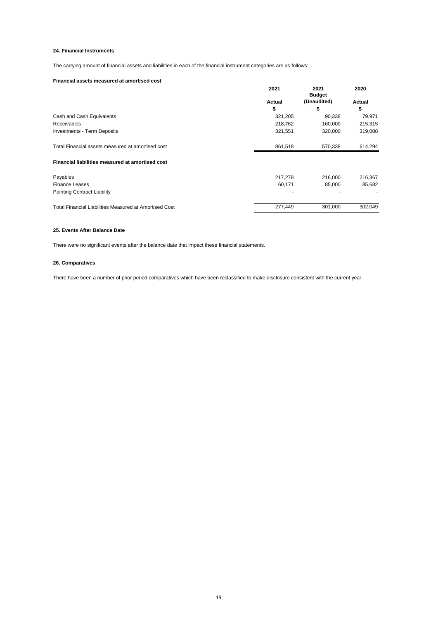#### **24. Financial Instruments**

The carrying amount of financial assets and liabilities in each of the financial instrument categories are as follows:

#### **Financial assets measured at amortised cost**

|                                                        | 2021    | 2021<br><b>Budget</b> | 2020    |
|--------------------------------------------------------|---------|-----------------------|---------|
|                                                        | Actual  | (Unaudited)           | Actual  |
|                                                        | \$      | \$                    | \$      |
| Cash and Cash Equivalents                              | 321,205 | 90,338                | 79,971  |
| Receivables                                            | 218,762 | 160,000               | 215,315 |
| <b>Investments - Term Deposits</b>                     | 321,551 | 320,000               | 319,008 |
| Total Financial assets measured at amortised cost      | 861,518 | 570,338               | 614,294 |
| Financial liabilities measured at amortised cost       |         |                       |         |
| Payables                                               | 217,278 | 216,000               | 216,367 |
| <b>Finance Leases</b>                                  | 60,171  | 85.000                | 85,682  |
| Painting Contract Liability                            |         |                       |         |
| Total Financial Liabilities Measured at Amortised Cost | 277.449 | 301,000               | 302.049 |

#### **25. Events After Balance Date**

There were no significant events after the balance date that impact these financial statements. 

#### **26. Comparatives**

There have been a number of prior period comparatives which have been reclassified to make disclosure consistent with the current year.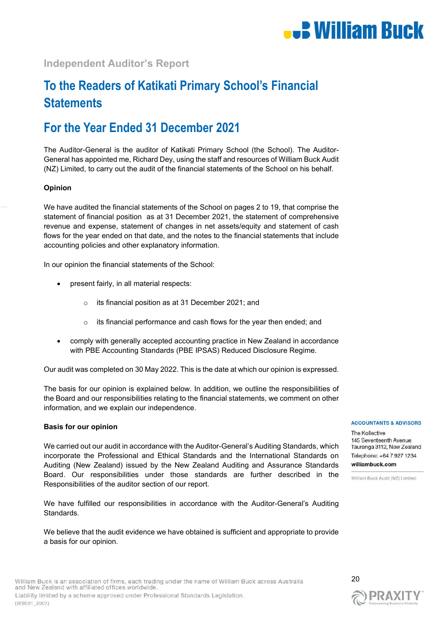

# **Independent Auditor's Report**

# **To the Readers of Katikati Primary School's Financial Statements**

# **For the Year Ended 31 December 2021**

The Auditor-General is the auditor of Katikati Primary School (the School). The Auditor-General has appointed me, Richard Dey, using the staff and resources of William Buck Audit (NZ) Limited, to carry out the audit of the financial statements of the School on his behalf.

### **Opinion**

We have audited the financial statements of the School on pages 2 to 19, that comprise the statement of financial position as at 31 December 2021, the statement of comprehensive revenue and expense, statement of changes in net assets/equity and statement of cash flows for the year ended on that date, and the notes to the financial statements that include accounting policies and other explanatory information.

In our opinion the financial statements of the School:

- present fairly, in all material respects:
	- o its financial position as at 31 December 2021; and
	- o its financial performance and cash flows for the year then ended; and
- comply with generally accepted accounting practice in New Zealand in accordance with PBE Accounting Standards (PBE IPSAS) Reduced Disclosure Regime.

Our audit was completed on 30 May 2022. This is the date at which our opinion is expressed.

The basis for our opinion is explained below. In addition, we outline the responsibilities of the Board and our responsibilities relating to the financial statements, we comment on other information, and we explain our independence.

#### **Basis for our opinion**

We carried out our audit in accordance with the Auditor-General's Auditing Standards, which incorporate the Professional and Ethical Standards and the International Standards on Auditing (New Zealand) issued by the New Zealand Auditing and Assurance Standards Board. Our responsibilities under those standards are further described in the Responsibilities of the auditor section of our report.

We have fulfilled our responsibilities in accordance with the Auditor-General's Auditing Standards.

We believe that the audit evidence we have obtained is sufficient and appropriate to provide a basis for our opinion.

#### **ACCOUNTANTS & ADVISORS**

The Kollective 145 Seventeenth Avenue Tauranga 3112, New Zealand Telephone: +64 7 927 1234 williambuck.com

William Buck Audit (NZ) Limited

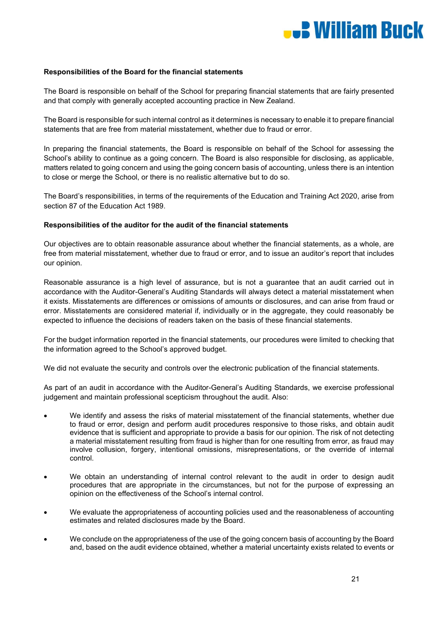

#### **Responsibilities of the Board for the financial statements**

The Board is responsible on behalf of the School for preparing financial statements that are fairly presented and that comply with generally accepted accounting practice in New Zealand.

The Board is responsible for such internal control as it determines is necessary to enable it to prepare financial statements that are free from material misstatement, whether due to fraud or error.

In preparing the financial statements, the Board is responsible on behalf of the School for assessing the School's ability to continue as a going concern. The Board is also responsible for disclosing, as applicable, matters related to going concern and using the going concern basis of accounting, unless there is an intention to close or merge the School, or there is no realistic alternative but to do so.

The Board's responsibilities, in terms of the requirements of the Education and Training Act 2020, arise from section 87 of the Education Act 1989.

#### **Responsibilities of the auditor for the audit of the financial statements**

Our objectives are to obtain reasonable assurance about whether the financial statements, as a whole, are free from material misstatement, whether due to fraud or error, and to issue an auditor's report that includes our opinion.

Reasonable assurance is a high level of assurance, but is not a guarantee that an audit carried out in accordance with the Auditor-General's Auditing Standards will always detect a material misstatement when it exists. Misstatements are differences or omissions of amounts or disclosures, and can arise from fraud or error. Misstatements are considered material if, individually or in the aggregate, they could reasonably be expected to influence the decisions of readers taken on the basis of these financial statements.

For the budget information reported in the financial statements, our procedures were limited to checking that the information agreed to the School's approved budget.

We did not evaluate the security and controls over the electronic publication of the financial statements.

As part of an audit in accordance with the Auditor-General's Auditing Standards, we exercise professional judgement and maintain professional scepticism throughout the audit. Also:

- We identify and assess the risks of material misstatement of the financial statements, whether due to fraud or error, design and perform audit procedures responsive to those risks, and obtain audit evidence that is sufficient and appropriate to provide a basis for our opinion. The risk of not detecting a material misstatement resulting from fraud is higher than for one resulting from error, as fraud may involve collusion, forgery, intentional omissions, misrepresentations, or the override of internal control.
- We obtain an understanding of internal control relevant to the audit in order to design audit procedures that are appropriate in the circumstances, but not for the purpose of expressing an opinion on the effectiveness of the School's internal control.
- We evaluate the appropriateness of accounting policies used and the reasonableness of accounting estimates and related disclosures made by the Board.
- We conclude on the appropriateness of the use of the going concern basis of accounting by the Board and, based on the audit evidence obtained, whether a material uncertainty exists related to events or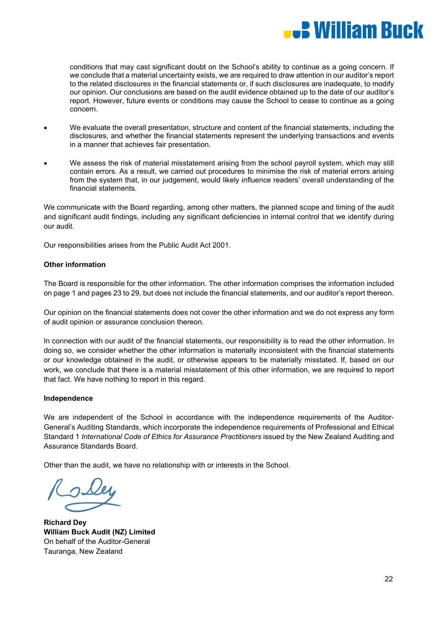

conditions that may cast significant doubt on the School's ability to continue as a going concern. If we conclude that a material uncertainty exists, we are required to draw attention in our auditor's report to the related disclosures in the financial statements or, if such disclosures are inadequate, to modify our opinion. Our conclusions are based on the audit evidence obtained up to the date of our auditor's report. However, future events or conditions may cause the School to cease to continue as a going concern.

- We evaluate the overall presentation, structure and content of the financial statements, including the disclosures, and whether the financial statements represent the underlying transactions and events in a manner that achieves fair presentation.
- We assess the risk of material misstatement arising from the school payroll system, which may still contain errors. As a result, we carried out procedures to minimise the risk of material errors arising from the system that, in our judgement, would likely influence readers' overall understanding of the financial statements.

We communicate with the Board regarding, among other matters, the planned scope and timing of the audit and significant audit findings, including any significant deficiencies in internal control that we identify during our audit.

Our responsibilities arises from the Public Audit Act 2001.

#### **Other information**

The Board is responsible for the other information. The other information comprises the information included on page 1 and pages 23 to 29, but does not include the financial statements, and our auditor's report thereon.

Our opinion on the financial statements does not cover the other information and we do not express any form of audit opinion or assurance conclusion thereon.

In connection with our audit of the financial statements, our responsibility is to read the other information. In doing so, we consider whether the other information is materially inconsistent with the financial statements or our knowledge obtained in the audit, or otherwise appears to be materially misstated. If, based on our work, we conclude that there is a material misstatement of this other information, we are required to report that fact. We have nothing to report in this regard.

#### **Independence**

We are independent of the School in accordance with the independence requirements of the Auditor-General's Auditing Standards, which incorporate the independence requirements of Professional and Ethical Standard 1 *International Code of Ethics for Assurance Practitioners* issued by the New Zealand Auditing and Assurance Standards Board.

Other than the audit, we have no relationship with or interests in the School.

**Richard Dey William Buck Audit (NZ) Limited** On behalf of the Auditor-General Tauranga, New Zealand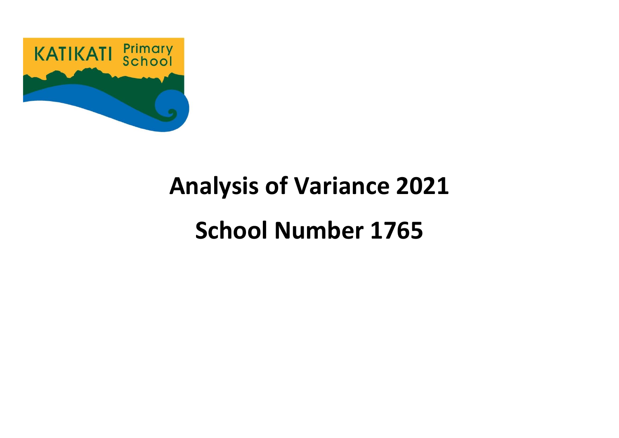

# **Analysis of Variance 2021 School Number 1765**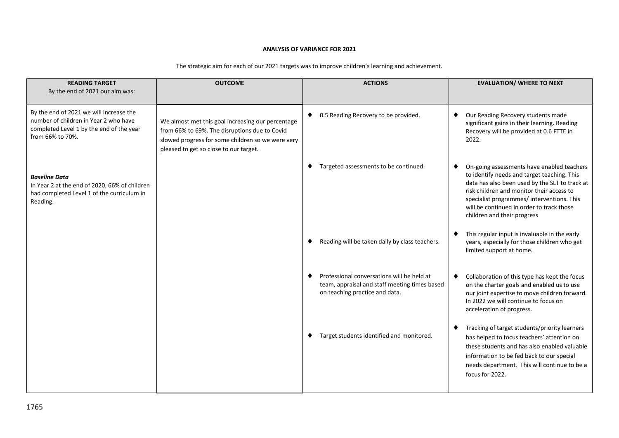#### **ANALYSIS OF VARIANCE FOR 2021**

| <b>READING TARGET</b><br>By the end of 2021 our aim was:                                                                                         | <b>OUTCOME</b>                                                                                                                                                                                    | <b>ACTIONS</b>                                                                                                                     | <b>EVALUATION/ WHERE TO NEXT</b>                                                                                                                                                                                                                                                                                   |
|--------------------------------------------------------------------------------------------------------------------------------------------------|---------------------------------------------------------------------------------------------------------------------------------------------------------------------------------------------------|------------------------------------------------------------------------------------------------------------------------------------|--------------------------------------------------------------------------------------------------------------------------------------------------------------------------------------------------------------------------------------------------------------------------------------------------------------------|
| By the end of 2021 we will increase the<br>number of children in Year 2 who have<br>completed Level 1 by the end of the year<br>from 66% to 70%. | We almost met this goal increasing our percentage<br>from 66% to 69%. The disruptions due to Covid<br>slowed progress for some children so we were very<br>pleased to get so close to our target. | 0.5 Reading Recovery to be provided.<br>٠                                                                                          | Our Reading Recovery students made<br>significant gains in their learning. Reading<br>Recovery will be provided at 0.6 FTTE in<br>2022.                                                                                                                                                                            |
| <b>Baseline Data</b><br>In Year 2 at the end of 2020, 66% of children<br>had completed Level 1 of the curriculum in<br>Reading.                  |                                                                                                                                                                                                   | Targeted assessments to be continued.<br>٠                                                                                         | On-going assessments have enabled teachers<br>to identify needs and target teaching. This<br>data has also been used by the SLT to track at<br>risk children and monitor their access to<br>specialist programmes/ interventions. This<br>will be continued in order to track those<br>children and their progress |
|                                                                                                                                                  |                                                                                                                                                                                                   | Reading will be taken daily by class teachers.<br>٠                                                                                | This regular input is invaluable in the early<br>years, especially for those children who get<br>limited support at home.                                                                                                                                                                                          |
|                                                                                                                                                  |                                                                                                                                                                                                   | Professional conversations will be held at<br>٠<br>team, appraisal and staff meeting times based<br>on teaching practice and data. | Collaboration of this type has kept the focus<br>٠<br>on the charter goals and enabled us to use<br>our joint expertise to move children forward.<br>In 2022 we will continue to focus on<br>acceleration of progress.                                                                                             |
|                                                                                                                                                  |                                                                                                                                                                                                   | Target students identified and monitored.<br>٠                                                                                     | Tracking of target students/priority learners<br>٠<br>has helped to focus teachers' attention on<br>these students and has also enabled valuable<br>information to be fed back to our special<br>needs department. This will continue to be a<br>focus for 2022.                                                   |

The strategic aim for each of our 2021 targets was to improve children's learning and achievement.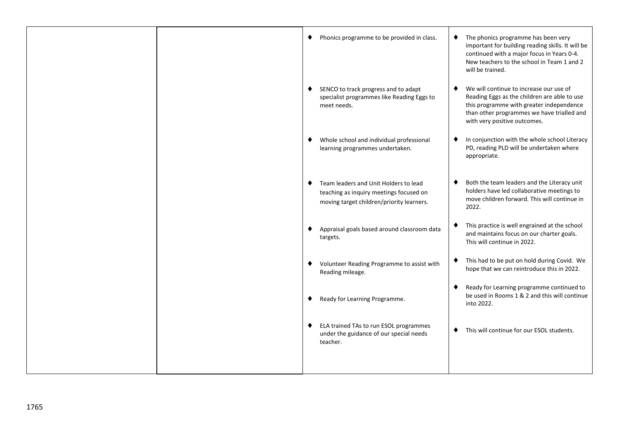|  | Phonics programme to be provided in class.<br>٠                                                                                    | The phonics programme has been very<br>٠<br>important for building reading skills. It will be<br>continued with a major focus in Years 0-4.<br>New teachers to the school in Team 1 and 2<br>will be trained.          |
|--|------------------------------------------------------------------------------------------------------------------------------------|------------------------------------------------------------------------------------------------------------------------------------------------------------------------------------------------------------------------|
|  | SENCO to track progress and to adapt<br>٠<br>specialist programmes like Reading Eggs to<br>meet needs.                             | We will continue to increase our use of<br>٠<br>Reading Eggs as the children are able to use<br>this programme with greater independence<br>than other programmes we have trialled and<br>with very positive outcomes. |
|  | Whole school and individual professional<br>٠<br>learning programmes undertaken.                                                   | In conjunction with the whole school Literacy<br>٠<br>PD, reading PLD will be undertaken where<br>appropriate.                                                                                                         |
|  | Team leaders and Unit Holders to lead<br>٠<br>teaching as inquiry meetings focused on<br>moving target children/priority learners. | Both the team leaders and the Literacy unit<br>٠<br>holders have led collaborative meetings to<br>move children forward. This will continue in<br>2022.                                                                |
|  | Appraisal goals based around classroom data<br>٠<br>targets.                                                                       | This practice is well engrained at the school<br>٠<br>and maintains focus on our charter goals.<br>This will continue in 2022.                                                                                         |
|  | Volunteer Reading Programme to assist with<br>٠<br>Reading mileage.                                                                | This had to be put on hold during Covid. We<br>hope that we can reintroduce this in 2022.                                                                                                                              |
|  | Ready for Learning Programme.<br>٠                                                                                                 | Ready for Learning programme continued to<br>٠<br>be used in Rooms 1 & 2 and this will continue<br>into 2022.                                                                                                          |
|  | ELA trained TAs to run ESOL programmes<br>٠<br>under the guidance of our special needs<br>teacher.                                 | This will continue for our ESOL students.<br>٠                                                                                                                                                                         |
|  |                                                                                                                                    |                                                                                                                                                                                                                        |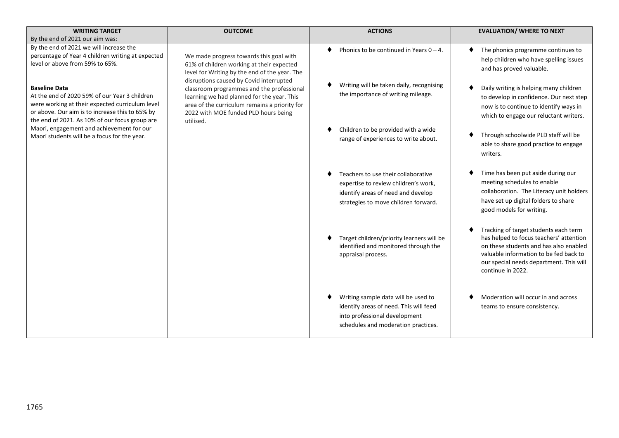| <b>WRITING TARGET</b>                                                                                                                                                                                                         | <b>OUTCOME</b>                                                                                                                                                                                | <b>ACTIONS</b>                                                                                                                                            | <b>EVALUATION/ WHERE TO NEXT</b>                                                                                                                                                                                                     |
|-------------------------------------------------------------------------------------------------------------------------------------------------------------------------------------------------------------------------------|-----------------------------------------------------------------------------------------------------------------------------------------------------------------------------------------------|-----------------------------------------------------------------------------------------------------------------------------------------------------------|--------------------------------------------------------------------------------------------------------------------------------------------------------------------------------------------------------------------------------------|
| By the end of 2021 our aim was:                                                                                                                                                                                               |                                                                                                                                                                                               |                                                                                                                                                           |                                                                                                                                                                                                                                      |
| By the end of 2021 we will increase the<br>percentage of Year 4 children writing at expected<br>level or above from 59% to 65%.                                                                                               | We made progress towards this goal with<br>61% of children working at their expected<br>level for Writing by the end of the year. The<br>disruptions caused by Covid interrupted              | Phonics to be continued in Years $0 - 4$ .                                                                                                                | The phonics programme continues to<br>help children who have spelling issues<br>and has proved valuable.                                                                                                                             |
| <b>Baseline Data</b><br>At the end of 2020 59% of our Year 3 children<br>were working at their expected curriculum level<br>or above. Our aim is to increase this to 65% by<br>the end of 2021. As 10% of our focus group are | classroom programmes and the professional<br>learning we had planned for the year. This<br>area of the curriculum remains a priority for<br>2022 with MOE funded PLD hours being<br>utilised. | Writing will be taken daily, recognising<br>the importance of writing mileage.                                                                            | Daily writing is helping many children<br>to develop in confidence. Our next step<br>now is to continue to identify ways in<br>which to engage our reluctant writers.                                                                |
| Maori, engagement and achievement for our<br>Maori students will be a focus for the year.                                                                                                                                     |                                                                                                                                                                                               | Children to be provided with a wide<br>range of experiences to write about.                                                                               | Through schoolwide PLD staff will be<br>able to share good practice to engage<br>writers.                                                                                                                                            |
|                                                                                                                                                                                                                               |                                                                                                                                                                                               | Teachers to use their collaborative<br>expertise to review children's work,<br>identify areas of need and develop<br>strategies to move children forward. | Time has been put aside during our<br>meeting schedules to enable<br>collaboration. The Literacy unit holders<br>have set up digital folders to share<br>good models for writing.                                                    |
|                                                                                                                                                                                                                               |                                                                                                                                                                                               | Target children/priority learners will be<br>identified and monitored through the<br>appraisal process.                                                   | Tracking of target students each term<br>has helped to focus teachers' attention<br>on these students and has also enabled<br>valuable information to be fed back to<br>our special needs department. This will<br>continue in 2022. |
|                                                                                                                                                                                                                               |                                                                                                                                                                                               | Writing sample data will be used to<br>identify areas of need. This will feed<br>into professional development<br>schedules and moderation practices.     | Moderation will occur in and across<br>teams to ensure consistency.                                                                                                                                                                  |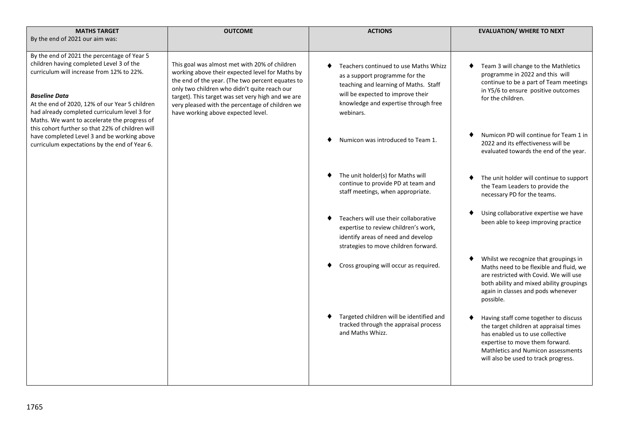| <b>OUTCOME</b>                                                                                                                                                                                                                                                                                                                                                                                                                                                                                                                                                                                                                                                                                                                                                                                                                                              | <b>ACTIONS</b>                                                                                                                                                                                             | <b>EVALUATION/ WHERE TO NEXT</b>                                                                                                                                                                                                     |
|-------------------------------------------------------------------------------------------------------------------------------------------------------------------------------------------------------------------------------------------------------------------------------------------------------------------------------------------------------------------------------------------------------------------------------------------------------------------------------------------------------------------------------------------------------------------------------------------------------------------------------------------------------------------------------------------------------------------------------------------------------------------------------------------------------------------------------------------------------------|------------------------------------------------------------------------------------------------------------------------------------------------------------------------------------------------------------|--------------------------------------------------------------------------------------------------------------------------------------------------------------------------------------------------------------------------------------|
| By the end of 2021 our aim was:<br>By the end of 2021 the percentage of Year 5<br>children having completed Level 3 of the<br>This goal was almost met with 20% of children<br>curriculum will increase from 12% to 22%.<br>working above their expected level for Maths by<br>the end of the year. (The two percent equates to<br>only two children who didn't quite reach our<br><b>Baseline Data</b><br>target). This target was set very high and we are<br>At the end of 2020, 12% of our Year 5 children<br>very pleased with the percentage of children we<br>had already completed curriculum level 3 for<br>have working above expected level.<br>Maths. We want to accelerate the progress of<br>this cohort further so that 22% of children will<br>have completed Level 3 and be working above<br>curriculum expectations by the end of Year 6. | Teachers continued to use Maths Whizz<br>as a support programme for the<br>teaching and learning of Maths. Staff<br>will be expected to improve their<br>knowledge and expertise through free<br>webinars. | Team 3 will change to the Mathletics<br>programme in 2022 and this will<br>continue to be a part of Team meetings<br>in Y5/6 to ensure positive outcomes<br>for the children.                                                        |
|                                                                                                                                                                                                                                                                                                                                                                                                                                                                                                                                                                                                                                                                                                                                                                                                                                                             | Numicon was introduced to Team 1.                                                                                                                                                                          | Numicon PD will continue for Team 1 in<br>2022 and its effectiveness will be<br>evaluated towards the end of the year.                                                                                                               |
|                                                                                                                                                                                                                                                                                                                                                                                                                                                                                                                                                                                                                                                                                                                                                                                                                                                             | The unit holder(s) for Maths will<br>continue to provide PD at team and<br>staff meetings, when appropriate.                                                                                               | The unit holder will continue to support<br>the Team Leaders to provide the<br>necessary PD for the teams.                                                                                                                           |
|                                                                                                                                                                                                                                                                                                                                                                                                                                                                                                                                                                                                                                                                                                                                                                                                                                                             | Teachers will use their collaborative<br>expertise to review children's work,<br>identify areas of need and develop<br>strategies to move children forward.                                                | Using collaborative expertise we have<br>been able to keep improving practice                                                                                                                                                        |
|                                                                                                                                                                                                                                                                                                                                                                                                                                                                                                                                                                                                                                                                                                                                                                                                                                                             | Cross grouping will occur as required.                                                                                                                                                                     | Whilst we recognize that groupings in<br>Maths need to be flexible and fluid, we<br>are restricted with Covid. We will use<br>both ability and mixed ability groupings<br>again in classes and pods whenever<br>possible.            |
|                                                                                                                                                                                                                                                                                                                                                                                                                                                                                                                                                                                                                                                                                                                                                                                                                                                             | Targeted children will be identified and<br>tracked through the appraisal process<br>and Maths Whizz.                                                                                                      | Having staff come together to discuss<br>the target children at appraisal times<br>has enabled us to use collective<br>expertise to move them forward.<br>Mathletics and Numicon assessments<br>will also be used to track progress. |
|                                                                                                                                                                                                                                                                                                                                                                                                                                                                                                                                                                                                                                                                                                                                                                                                                                                             |                                                                                                                                                                                                            |                                                                                                                                                                                                                                      |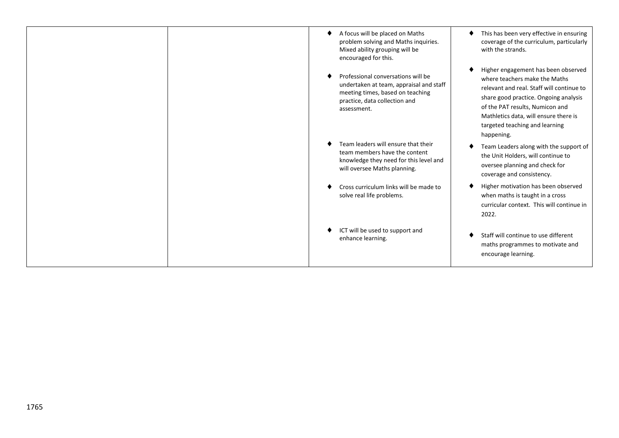| A focus will be placed on Maths<br>problem solving and Maths inquiries.<br>Mixed ability grouping will be<br>encouraged for this.                                 | This has been very effective in ensuring<br>coverage of the curriculum, particularly<br>with the strands.                                                                                                                                                                              |
|-------------------------------------------------------------------------------------------------------------------------------------------------------------------|----------------------------------------------------------------------------------------------------------------------------------------------------------------------------------------------------------------------------------------------------------------------------------------|
| Professional conversations will be<br>undertaken at team, appraisal and staff<br>meeting times, based on teaching<br>practice, data collection and<br>assessment. | Higher engagement has been observed<br>where teachers make the Maths<br>relevant and real. Staff will continue to<br>share good practice. Ongoing analysis<br>of the PAT results, Numicon and<br>Mathletics data, will ensure there is<br>targeted teaching and learning<br>happening. |
| Team leaders will ensure that their<br>team members have the content<br>knowledge they need for this level and<br>will oversee Maths planning.                    | Team Leaders along with the support of<br>the Unit Holders, will continue to<br>oversee planning and check for<br>coverage and consistency.                                                                                                                                            |
| Cross curriculum links will be made to<br>solve real life problems.                                                                                               | Higher motivation has been observed<br>when maths is taught in a cross<br>curricular context. This will continue in<br>2022.                                                                                                                                                           |
| ICT will be used to support and<br>enhance learning.                                                                                                              | Staff will continue to use different<br>maths programmes to motivate and<br>encourage learning.                                                                                                                                                                                        |